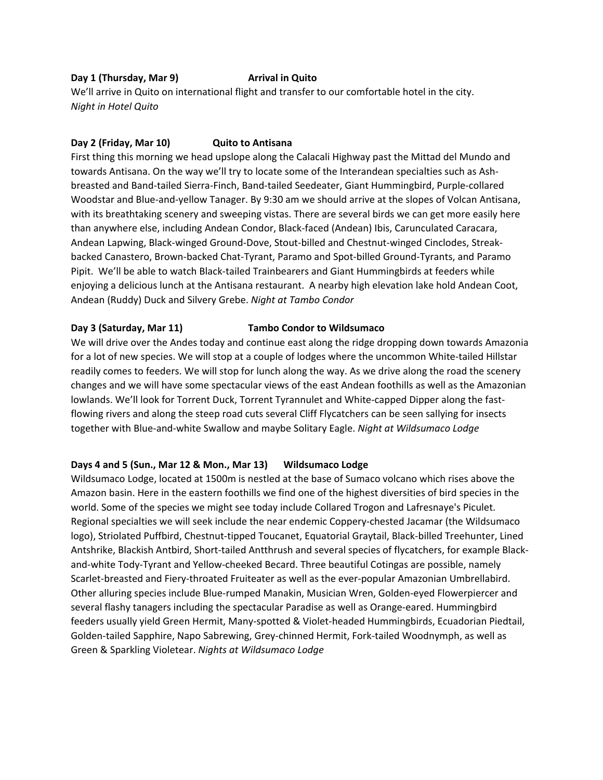### **Day 1 (Thursday, Mar 9) Arrival in Quito**

We'll arrive in Quito on international flight and transfer to our comfortable hotel in the city. *Night in Hotel Quito*

#### **Day 2 (Friday, Mar 10) Quito to Antisana**

First thing this morning we head upslope along the Calacali Highway past the Mittad del Mundo and towards Antisana. On the way we'll try to locate some of the Interandean specialties such as Ashbreasted and Band-tailed Sierra-Finch, Band-tailed Seedeater, Giant Hummingbird, Purple-collared Woodstar and Blue-and-yellow Tanager. By 9:30 am we should arrive at the slopes of Volcan Antisana, with its breathtaking scenery and sweeping vistas. There are several birds we can get more easily here than anywhere else, including Andean Condor, Black-faced (Andean) Ibis, Carunculated Caracara, Andean Lapwing, Black-winged Ground-Dove, Stout-billed and Chestnut-winged Cinclodes, Streakbacked Canastero, Brown-backed Chat-Tyrant, Paramo and Spot-billed Ground-Tyrants, and Paramo Pipit. We'll be able to watch Black-tailed Trainbearers and Giant Hummingbirds at feeders while enjoying a delicious lunch at the Antisana restaurant. A nearby high elevation lake hold Andean Coot, Andean (Ruddy) Duck and Silvery Grebe. *Night at Tambo Condor*

# **Day 3 (Saturday, Mar 11) Tambo Condor to Wildsumaco**

We will drive over the Andes today and continue east along the ridge dropping down towards Amazonia for a lot of new species. We will stop at a couple of lodges where the uncommon White-tailed Hillstar readily comes to feeders. We will stop for lunch along the way. As we drive along the road the scenery changes and we will have some spectacular views of the east Andean foothills as well as the Amazonian lowlands. We'll look for Torrent Duck, Torrent Tyrannulet and White-capped Dipper along the fastflowing rivers and along the steep road cuts several Cliff Flycatchers can be seen sallying for insects together with Blue-and-white Swallow and maybe Solitary Eagle. *Night at Wildsumaco Lodge*

# **Days 4 and 5 (Sun., Mar 12 & Mon., Mar 13) Wildsumaco Lodge**

Wildsumaco Lodge, located at 1500m is nestled at the base of Sumaco volcano which rises above the Amazon basin. Here in the eastern foothills we find one of the highest diversities of bird species in the world. Some of the species we might see today include Collared Trogon and Lafresnaye's Piculet. Regional specialties we will seek include the near endemic Coppery-chested Jacamar (the Wildsumaco logo), Striolated Puffbird, Chestnut-tipped Toucanet, Equatorial Graytail, Black-billed Treehunter, Lined Antshrike, Blackish Antbird, Short-tailed Antthrush and several species of flycatchers, for example Blackand-white Tody-Tyrant and Yellow-cheeked Becard. Three beautiful Cotingas are possible, namely Scarlet-breasted and Fiery-throated Fruiteater as well as the ever-popular Amazonian Umbrellabird. Other alluring species include Blue-rumped Manakin, Musician Wren, Golden-eyed Flowerpiercer and several flashy tanagers including the spectacular Paradise as well as Orange-eared. Hummingbird feeders usually yield Green Hermit, Many-spotted & Violet-headed Hummingbirds, Ecuadorian Piedtail, Golden-tailed Sapphire, Napo Sabrewing, Grey-chinned Hermit, Fork-tailed Woodnymph, as well as Green & Sparkling Violetear. *Nights at Wildsumaco Lodge*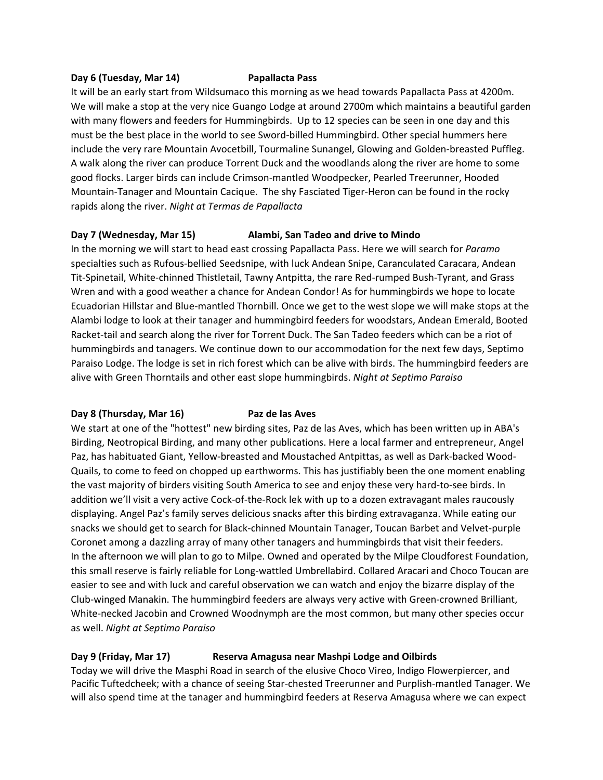#### **Day 6 (Tuesday, Mar 14) Papallacta Pass**

It will be an early start from Wildsumaco this morning as we head towards Papallacta Pass at 4200m. We will make a stop at the very nice Guango Lodge at around 2700m which maintains a beautiful garden with many flowers and feeders for Hummingbirds. Up to 12 species can be seen in one day and this must be the best place in the world to see Sword-billed Hummingbird. Other special hummers here include the very rare Mountain Avocetbill, Tourmaline Sunangel, Glowing and Golden-breasted Puffleg. A walk along the river can produce Torrent Duck and the woodlands along the river are home to some good flocks. Larger birds can include Crimson-mantled Woodpecker, Pearled Treerunner, Hooded Mountain-Tanager and Mountain Cacique. The shy Fasciated Tiger-Heron can be found in the rocky rapids along the river. *Night at Termas de Papallacta*

### **Day 7 (Wednesday, Mar 15) Alambi, San Tadeo and drive to Mindo**

In the morning we will start to head east crossing Papallacta Pass. Here we will search for *Paramo* specialties such as Rufous-bellied Seedsnipe, with luck Andean Snipe, Caranculated Caracara, Andean Tit-Spinetail, White-chinned Thistletail, Tawny Antpitta, the rare Red-rumped Bush-Tyrant, and Grass Wren and with a good weather a chance for Andean Condor! As for hummingbirds we hope to locate Ecuadorian Hillstar and Blue-mantled Thornbill. Once we get to the west slope we will make stops at the Alambi lodge to look at their tanager and hummingbird feeders for woodstars, Andean Emerald, Booted Racket-tail and search along the river for Torrent Duck. The San Tadeo feeders which can be a riot of hummingbirds and tanagers. We continue down to our accommodation for the next few days, Septimo Paraiso Lodge. The lodge is set in rich forest which can be alive with birds. The hummingbird feeders are alive with Green Thorntails and other east slope hummingbirds. *Night at Septimo Paraiso*

# **Day 8 (Thursday, Mar 16) Paz de las Aves**

We start at one of the "hottest" new birding sites, Paz de las Aves, which has been written up in ABA's Birding, Neotropical Birding, and many other publications. Here a local farmer and entrepreneur, Angel Paz, has habituated Giant, Yellow-breasted and Moustached Antpittas, as well as Dark-backed Wood-Quails, to come to feed on chopped up earthworms. This has justifiably been the one moment enabling the vast majority of birders visiting South America to see and enjoy these very hard-to-see birds. In addition we'll visit a very active Cock-of-the-Rock lek with up to a dozen extravagant males raucously displaying. Angel Paz's family serves delicious snacks after this birding extravaganza. While eating our snacks we should get to search for Black-chinned Mountain Tanager, Toucan Barbet and Velvet-purple Coronet among a dazzling array of many other tanagers and hummingbirds that visit their feeders. In the afternoon we will plan to go to Milpe. Owned and operated by the Milpe Cloudforest Foundation, this small reserve is fairly reliable for Long-wattled Umbrellabird. Collared Aracari and Choco Toucan are easier to see and with luck and careful observation we can watch and enjoy the bizarre display of the Club-winged Manakin. The hummingbird feeders are always very active with Green-crowned Brilliant, White-necked Jacobin and Crowned Woodnymph are the most common, but many other species occur as well. *Night at Septimo Paraiso*

# **Day 9 (Friday, Mar 17) Reserva Amagusa near Mashpi Lodge and Oilbirds**

Today we will drive the Masphi Road in search of the elusive Choco Vireo, Indigo Flowerpiercer, and Pacific Tuftedcheek; with a chance of seeing Star-chested Treerunner and Purplish-mantled Tanager. We will also spend time at the tanager and hummingbird feeders at Reserva Amagusa where we can expect